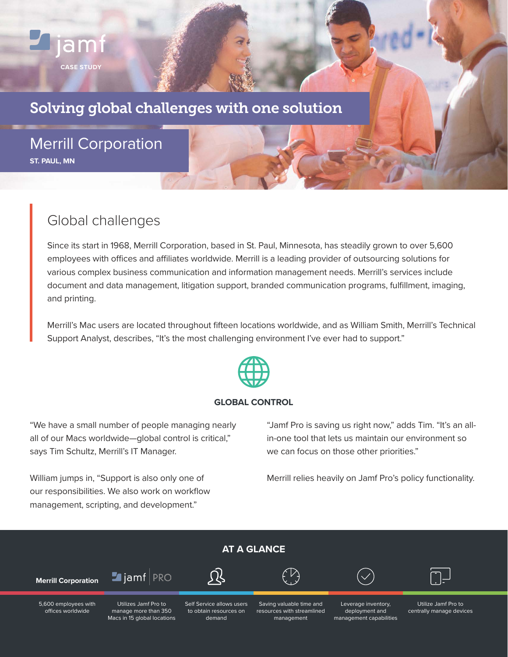# Solving global challenges with one solution

## Merrill Corporation **ST. PAUL, MN**

**CASE STUDY**

jamf

## Global challenges

Since its start in 1968, Merrill Corporation, based in St. Paul, Minnesota, has steadily grown to over 5,600 employees with offices and affiliates worldwide. Merrill is a leading provider of outsourcing solutions for various complex business communication and information management needs. Merrill's services include document and data management, litigation support, branded communication programs, fulfillment, imaging, and printing.

Merrill's Mac users are located throughout fifteen locations worldwide, and as William Smith, Merrill's Technical Support Analyst, describes, "It's the most challenging environment I've ever had to support."



### **GLOBAL CONTROL**

"We have a small number of people managing nearly all of our Macs worldwide—global control is critical," says Tim Schultz, Merrill's IT Manager.

William jumps in, "Support is also only one of our responsibilities. We also work on workflow management, scripting, and development."

"Jamf Pro is saving us right now," adds Tim. "It's an allin-one tool that lets us maintain our environment so we can focus on those other priorities."

Merrill relies heavily on Jamf Pro's policy functionality.